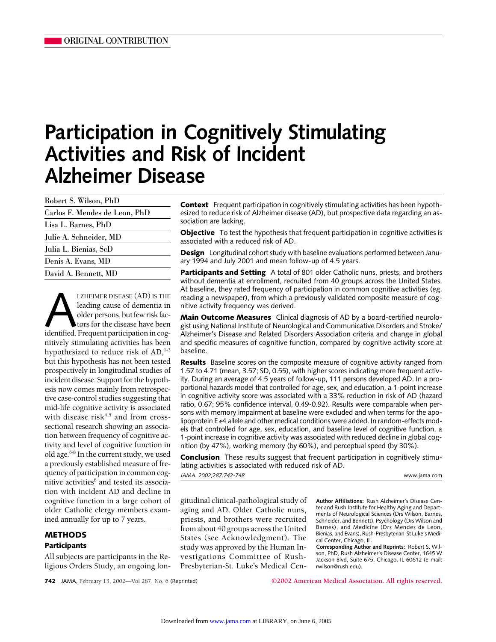# **Participation in Cognitively Stimulating Activities and Risk of Incident Alzheimer Disease**

| Robert S. Wilson, PhD         |  |
|-------------------------------|--|
| Carlos F. Mendes de Leon, PhD |  |
| Lisa L. Barnes, PhD           |  |
| Julie A. Schneider, MD        |  |
| Julia L. Bienias, ScD         |  |
| Denis A. Evans, MD            |  |
| David A. Bennett, MD          |  |

LZHEIMER DISEASE (AD) IS THE leading cause of dementia in older persons, but few risk factors for the disease have been identified. Frequent participation in cogleading cause of dementia in older persons, but few risk factors for the disease have been nitively stimulating activities has been hypothesized to reduce risk of  $AD<sub>1</sub><sup>1-3</sup>$ but this hypothesis has not been tested prospectively in longitudinal studies of incident disease. Support for the hypothesis now comes mainly from retrospective case-control studies suggesting that mid-life cognitive activity is associated with disease risk $4,5$  and from crosssectional research showing an association between frequency of cognitive activity and level of cognitive function in old age.6-8 In the current study, we used a previously established measure of frequency of participation in common cognitive activities<sup>8</sup> and tested its association with incident AD and decline in cognitive function in a large cohort of older Catholic clergy members examined annually for up to 7 years.

## **METHODS Participants**

All subjects are participants in the Religious Orders Study, an ongoing lon**Context** Frequent participation in cognitively stimulating activities has been hypothesized to reduce risk of Alzheimer disease (AD), but prospective data regarding an association are lacking.

**Objective** To test the hypothesis that frequent participation in cognitive activities is associated with a reduced risk of AD.

**Design** Longitudinal cohort study with baseline evaluations performed between January 1994 and July 2001 and mean follow-up of 4.5 years.

**Participants and Setting** A total of 801 older Catholic nuns, priests, and brothers without dementia at enrollment, recruited from 40 groups across the United States. At baseline, they rated frequency of participation in common cognitive activities (eg, reading a newspaper), from which a previously validated composite measure of cognitive activity frequency was derived.

**Main Outcome Measures** Clinical diagnosis of AD by a board-certified neurologist using National Institute of Neurological and Communicative Disorders and Stroke/ Alzheimer's Disease and Related Disorders Association criteria and change in global and specific measures of cognitive function, compared by cognitive activity score at baseline.

**Results** Baseline scores on the composite measure of cognitive activity ranged from 1.57 to 4.71 (mean, 3.57; SD, 0.55), with higher scores indicating more frequent activity. During an average of 4.5 years of follow-up, 111 persons developed AD. In a proportional hazards model that controlled for age, sex, and education, a 1-point increase in cognitive activity score was associated with a 33% reduction in risk of AD (hazard ratio, 0.67; 95% confidence interval, 0.49-0.92). Results were comparable when persons with memory impairment at baseline were excluded and when terms for the apolipoprotein  $E \in 4$  allele and other medical conditions were added. In random-effects models that controlled for age, sex, education, and baseline level of cognitive function, a 1-point increase in cognitive activity was associated with reduced decline in global cognition (by 47%), working memory (by 60%), and perceptual speed (by 30%).

**Conclusion** These results suggest that frequent participation in cognitively stimulating activities is associated with reduced risk of AD.

*JAMA. 2002;287:742-748* www.jama.com

gitudinal clinical-pathological study of aging and AD. Older Catholic nuns, priests, and brothers were recruited from about 40 groups across the United States (see Acknowledgment). The study was approved by the Human Investigations Committee of Rush-Presbyterian-St. Luke's Medical Cen**Author Affiliations:** Rush Alzheimer's Disease Center and Rush Institute for Healthy Aging and Departments of Neurological Sciences (Drs Wilson, Barnes, Schneider, and Bennett), Psychology (Drs Wilson and Barnes), and Medicine (Drs Mendes de Leon, Bienias, and Evans), Rush-Presbyterian-St Luke's Medical Center, Chicago, Ill.

**Corresponding Author and Reprints:** Robert S. Wilson, PhD, Rush Alzheimer's Disease Center, 1645 W Jackson Blvd, Suite 675, Chicago, IL 60612 (e-mail: rwilson@rush.edu).

**742** JAMA, February 13, 2002—Vol 287, No. 6 (Reprinted) **©2002 American Medical Association. All rights reserved.**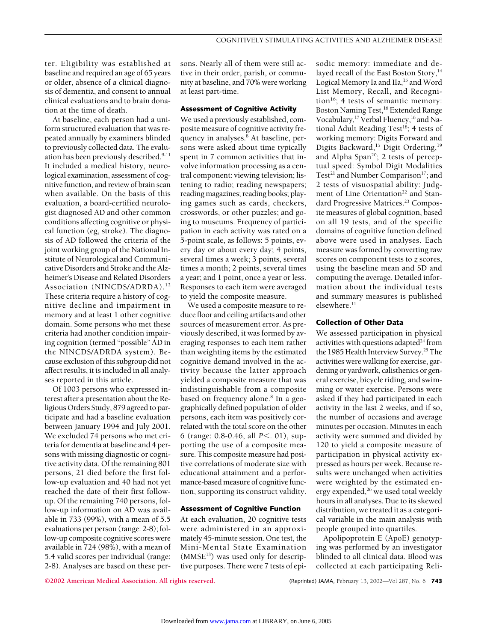ter. Eligibility was established at baseline and required an age of 65 years or older, absence of a clinical diagnosis of dementia, and consent to annual clinical evaluations and to brain donation at the time of death.

At baseline, each person had a uniform structured evaluation that was repeated annually by examiners blinded to previously collected data. The evaluation has been previously described.<sup>9-11</sup> It included a medical history, neurological examination, assessment of cognitive function, and review of brain scan when available. On the basis of this evaluation, a board-certified neurologist diagnosed AD and other common conditions affecting cognitive or physical function (eg, stroke). The diagnosis of AD followed the criteria of the joint working group of the National Institute of Neurological and Communicative Disorders and Stroke and the Alzheimer's Disease and Related Disorders Association (NINCDS/ADRDA).12 These criteria require a history of cognitive decline and impairment in memory and at least 1 other cognitive domain. Some persons who met these criteria had another condition impairing cognition (termed "possible" AD in the NINCDS/ADRDA system). Because exclusion of this subgroup did not affect results, it is included in all analyses reported in this article.

Of 1003 persons who expressed interest after a presentation about the Religious Orders Study, 879 agreed to participate and had a baseline evaluation between January 1994 and July 2001. We excluded 74 persons who met criteria for dementia at baseline and 4 persons with missing diagnostic or cognitive activity data. Of the remaining 801 persons, 21 died before the first follow-up evaluation and 40 had not yet reached the date of their first followup. Of the remaining 740 persons, follow-up information on AD was available in 733 (99%), with a mean of 5.5 evaluations per person (range: 2-8); follow-up composite cognitive scores were available in 724 (98%), with a mean of 5.4 valid scores per individual (range: 2-8). Analyses are based on these persons. Nearly all of them were still active in their order, parish, or community at baseline, and 70% were working at least part-time.

### **Assessment of Cognitive Activity**

We used a previously established, composite measure of cognitive activity frequency in analyses. $8$  At baseline, persons were asked about time typically spent in 7 common activities that involve information processing as a central component: viewing television; listening to radio; reading newspapers; reading magazines; reading books; playing games such as cards, checkers, crosswords, or other puzzles; and going to museums. Frequency of participation in each activity was rated on a 5-point scale, as follows: 5 points, every day or about every day; 4 points, several times a week; 3 points, several times a month; 2 points, several times a year; and 1 point, once a year or less. Responses to each item were averaged to yield the composite measure.

We used a composite measure to reduce floor and ceiling artifacts and other sources of measurement error. As previously described, it was formed by averaging responses to each item rather than weighting items by the estimated cognitive demand involved in the activity because the latter approach yielded a composite measure that was indistinguishable from a composite based on frequency alone.<sup>8</sup> In a geographically defined population of older persons, each item was positively correlated with the total score on the other 6 (range: 0.8-0.46, all *P*<. 01), supporting the use of a composite measure. This composite measure had positive correlations of moderate size with educational attainment and a performance-based measure of cognitive function, supporting its construct validity.

## **Assessment of Cognitive Function**

At each evaluation, 20 cognitive tests were administered in an approximately 45-minute session. One test, the Mini-Mental State Examination  $(MMSE<sup>13</sup>)$  was used only for descriptive purposes. There were 7 tests of episodic memory: immediate and delayed recall of the East Boston Story,<sup>14</sup> Logical Memory Ia and IIa,<sup>15</sup> and Word List Memory, Recall, and Recognition<sup>16</sup>; 4 tests of semantic memory: Boston Naming Test,<sup>16</sup> Extended Range Vocabulary,<sup>17</sup> Verbal Fluency,<sup>16</sup> and National Adult Reading Test<sup>18</sup>; 4 tests of working memory: Digits Forward and Digits Backward,<sup>15</sup> Digit Ordering,<sup>19</sup> and Alpha Span<sup>20</sup>; 2 tests of perceptual speed: Symbol Digit Modalities Test<sup>21</sup> and Number Comparison<sup>17</sup>; and 2 tests of visuospatial ability: Judgment of Line Orientation<sup>22</sup> and Standard Progressive Matrices.<sup>23</sup> Composite measures of global cognition, based on all 19 tests, and of the specific domains of cognitive function defined above were used in analyses. Each measure was formed by converting raw scores on component tests to *z* scores, using the baseline mean and SD and computing the average. Detailed information about the individual tests and summary measures is published elsewhere.<sup>11</sup>

### **Collection of Other Data**

We assessed participation in physical activities with questions adapted<sup>24</sup> from the 1985 Health Interview Survey.<sup>25</sup> The activities were walking for exercise, gardening or yardwork, calisthenics or general exercise, bicycle riding, and swimming or water exercise. Persons were asked if they had participated in each activity in the last 2 weeks, and if so, the number of occasions and average minutes per occasion. Minutes in each activity were summed and divided by 120 to yield a composite measure of participation in physical activity expressed as hours per week. Because results were unchanged when activities were weighted by the estimated energy expended,<sup>26</sup> we used total weekly hours in all analyses. Due to its skewed distribution, we treated it as a categorical variable in the main analysis with people grouped into quartiles.

Apolipoprotein E (ApoE) genotyping was performed by an investigator blinded to all clinical data. Blood was collected at each participating Reli-

**©2002 American Medical Association. All rights reserved.** (Reprinted) JAMA, February 13, 2002—Vol 287, No. 6 **743**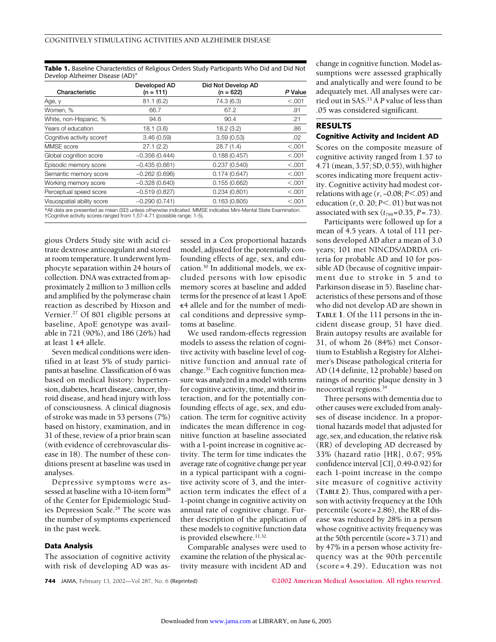**Table 1.** Baseline Characteristics of Religious Orders Study Participants Who Did and Did Not Develop Alzheimer Disease (AD)\*

| Characteristic                                                          | Developed AD<br>$(n = 111)$ | Did Not Develop AD<br>$(n = 622)$                                                                              | P Value |
|-------------------------------------------------------------------------|-----------------------------|----------------------------------------------------------------------------------------------------------------|---------|
| Age, y                                                                  | 81.1(6.2)                   | 74.3 (6.3)                                                                                                     | < 0.001 |
| Women, %                                                                | 66.7                        | 67.2                                                                                                           | .91     |
| White, non-Hispanic, %                                                  | 94.6                        | 90.4                                                                                                           | .21     |
| Years of education                                                      | 18.1(3.6)                   | 18.2(3.2)                                                                                                      | .86     |
| Cognitive activity scoret                                               | 3.46(0.59)                  | 3.59(0.53)                                                                                                     | .02     |
| MMSE score                                                              | 27.1(2.2)                   | 28.7(1.4)                                                                                                      | < 0.001 |
| Global cognition score                                                  | $-0.356(0.444)$             | 0.188(0.457)                                                                                                   | < 0.001 |
| Episodic memory score                                                   | $-0.435(0.661)$             | 0.237(0.540)                                                                                                   | < 0.001 |
| Semantic memory score                                                   | $-0.262(0.696)$             | 0.174(0.647)                                                                                                   | < 0.001 |
| Working memory score                                                    | $-0.328(0.640)$             | 0.155(0.662)                                                                                                   | < 0.001 |
| Perceptual speed score                                                  | $-0.519(0.827)$             | 0.234(0.801)                                                                                                   | < 0.001 |
| Visuospatial ability score                                              | $-0.290(0.741)$             | 0.163(0.805)                                                                                                   | < 0.001 |
| +Cognitive activity scores ranged from 1.57-4.71 (possible range: 1-5). |                             | *All data are presented as mean (SD) unless otherwise indicated. MMSE indicates Mini-Mental State Examination. |         |

gious Orders Study site with acid citrate dextrose anticoagulant and stored at room temperature. It underwent lymphocyte separation within 24 hours of collection. DNA was extracted from approximately 2 million to 3 million cells and amplified by the polymerase chain reaction as described by Hixson and Vernier.<sup>27</sup> Of 801 eligible persons at baseline, ApoE genotype was available in 721 (90%), and 186 (26%) had at least  $1 \epsilon$ 4 allele.

Seven medical conditions were identified in at least 5% of study participants at baseline. Classification of 6 was based on medical history: hypertension, diabetes, heart disease, cancer, thyroid disease, and head injury with loss of consciousness. A clinical diagnosis of stroke was made in 53 persons (7%) based on history, examination, and in 31 of these, review of a prior brain scan (with evidence of cerebrovascular disease in 18). The number of these conditions present at baseline was used in analyses.

Depressive symptoms were assessed at baseline with a 10-item form<sup>28</sup> of the Center for Epidemiologic Studies Depression Scale.<sup>29</sup> The score was the number of symptoms experienced in the past week.

## **Data Analysis**

The association of cognitive activity with risk of developing AD was assessed in a Cox proportional hazards model, adjusted for the potentially confounding effects of age, sex, and education.30 In additional models, we excluded persons with low episodic memory scores at baseline and added terms for the presence of at least 1 ApoE 4 allele and for the number of medical conditions and depressive symptoms at baseline.

We used random-effects regression models to assess the relation of cognitive activity with baseline level of cognitive function and annual rate of change.<sup>31</sup> Each cognitive function measure was analyzed in a model with terms for cognitive activity, time, and their interaction, and for the potentially confounding effects of age, sex, and education. The term for cognitive activity indicates the mean difference in cognitive function at baseline associated with a 1-point increase in cognitive activity. The term for time indicates the average rate of cognitive change per year in a typical participant with a cognitive activity score of 3, and the interaction term indicates the effect of a 1-point change in cognitive activity on annual rate of cognitive change. Further description of the application of these models to cognitive function data is provided elsewhere.<sup>11,32</sup>

Comparable analyses were used to examine the relation of the physical activity measure with incident AD and

change in cognitive function. Model assumptions were assessed graphically and analytically and were found to be adequately met. All analyses were carried out in SAS.33 A *P* value of less than .05 was considered significant.

# **RESULTS Cognitive Activity and Incident AD**

Scores on the composite measure of cognitive activity ranged from 1.57 to 4.71 (mean, 3.57; SD, 0.55), with higher scores indicating more frequent activity. Cognitive activity had modest correlations with age (*r*, −0.08; *P*-.05) and education (*r*, 0. 20; *P*-. 01) but was not associated with sex  $(t_{799}=0.35, P=.73)$ .

Participants were followed up for a mean of 4.5 years. A total of 111 persons developed AD after a mean of 3.0 years; 101 met NINCDS/ADRDA criteria for probable AD and 10 for possible AD (because of cognitive impairment due to stroke in 5 and to Parkinson disease in 5). Baseline characteristics of these persons and of those who did not develop AD are shown in **TABLE 1**. Of the 111 persons in the incident disease group, 51 have died. Brain autopsy results are available for 31, of whom 26 (84%) met Consortium to Establish a Registry for Alzheimer's Disease pathological criteria for AD (14 definite, 12 probable) based on ratings of neuritic plaque density in 3 neocortical regions.34

Three persons with dementia due to other causes were excluded from analyses of disease incidence. In a proportional hazards model that adjusted for age, sex, and education, the relative risk (RR) of developing AD decreased by 33% (hazard ratio [HR], 0.67; 95% confidence interval [CI], 0.49-0.92) for each 1-point increase in the compo site measure of cognitive activity (**TABLE 2**). Thus, compared with a person with activity frequency at the 10th percentile (score=2.86), the RR of disease was reduced by 28% in a person whose cognitive activity frequency was at the 50th percentile (score=3.71) and by 47% in a person whose activity frequency was at the 90th percentile (score=4.29). Education was not

**744** JAMA, February 13, 2002—Vol 287, No. 6 (Reprinted) **©2002 American Medical Association. All rights reserved.**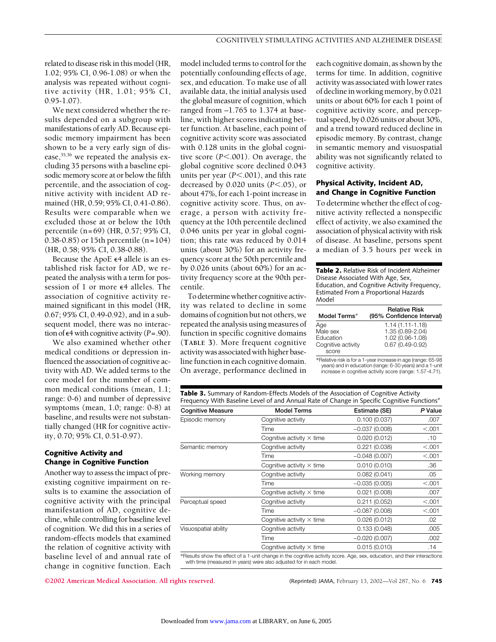related to disease risk in this model (HR, 1.02; 95% CI, 0.96-1.08) or when the analysis was repeated without cognitive activity (HR, 1.01; 95% CI,  $0.95 - 1.07$ ).

We next considered whether the results depended on a subgroup with manifestations of early AD. Because episodic memory impairment has been shown to be a very early sign of disease,<sup>35,36</sup> we repeated the analysis excluding 35 persons with a baseline episodic memory score at or below the fifth percentile, and the association of cognitive activity with incident AD remained (HR, 0.59; 95% CI, 0.41-0.86). Results were comparable when we excluded those at or below the 10th percentile (n=69) (HR, 0.57; 95% CI, 0.38-0.85) or 15th percentile (n=104) (HR, 0.58; 95% CI, 0.38-0.88).

Because the ApoE  $\epsilon$ 4 allele is an established risk factor for AD, we repeated the analysis with a term for possession of 1 or more  $\epsilon$ 4 alleles. The association of cognitive activity remained significant in this model (HR, 0.67; 95% CI, 0.49-0.92), and in a subsequent model, there was no interaction of  $\epsilon$ 4 with cognitive activity ( $P = .90$ ).

We also examined whether other medical conditions or depression influenced the association of cognitive activity with AD. We added terms to the core model for the number of common medical conditions (mean, 1.1; range: 0-6) and number of depressive symptoms (mean, 1.0; range: 0-8) at baseline, and results were not substantially changed (HR for cognitive activity, 0.70; 95% CI, 0.51-0.97).

## **Cognitive Activity and Change in Cognitive Function**

Another way to assess the impact of preexisting cognitive impairment on results is to examine the association of cognitive activity with the principal manifestation of AD, cognitive decline, while controlling for baseline level of cognition. We did this in a series of random-effects models that examined the relation of cognitive activity with baseline level of and annual rate of change in cognitive function. Each model included terms to control for the potentially confounding effects of age, sex, and education. To make use of all available data, the initial analysis used the global measure of cognition, which ranged from  $-1.765$  to 1.374 at baseline, with higher scores indicating better function. At baseline, each point of cognitive activity score was associated with 0.128 units in the global cognitive score (P<.001). On average, the global cognitive score declined 0.043 units per year (P<.001), and this rate decreased by 0.020 units (*P*-.05), or about 47%, for each 1-point increase in cognitive activity score. Thus, on average, a person with activity frequency at the 10th percentile declined 0.046 units per year in global cognition; this rate was reduced by 0.014 units (about 30%) for an activity frequency score at the 50th percentile and by 0.026 units (about 60%) for an activity frequency score at the 90th percentile.

To determine whether cognitive activity was related to decline in some domains of cognition but not others, we repeated the analysis using measures of function in specific cognitive domains (**TABLE 3**). More frequent cognitive activity was associated with higher baseline function in each cognitive domain. On average, performance declined in each cognitive domain, as shown by the terms for time. In addition, cognitive activity was associated with lower rates of decline in working memory, by 0.021 units or about 60% for each 1 point of cognitive activity score, and perceptual speed, by 0.026 units or about 30%, and a trend toward reduced decline in episodic memory. By contrast, change in semantic memory and visuospatial ability was not significantly related to cognitive activity.

## **Physical Activity, Incident AD, and Change in Cognitive Function**

To determine whether the effect of cognitive activity reflected a nonspecific effect of activity, we also examined the association of physical activity with risk of disease. At baseline, persons spent a median of 3.5 hours per week in

**Table 2.** Relative Risk of Incident Alzheimer Disease Associated With Age, Sex, Education, and Cognitive Activity Frequency, Estimated From a Proportional Hazards Model

| Model Terms*       | <b>Relative Risk</b><br>(95% Confidence Interval) |
|--------------------|---------------------------------------------------|
| Age                | $1.14(1.11 - 1.18)$                               |
| Male sex           | 1.35 (0.89-2.04)                                  |
| Education          | 1.02 (0.96-1.08)                                  |
| Cognitive activity | $0.67(0.49 - 0.92)$                               |
| score              |                                                   |

\*Relative risk is for a 1-year increase in age (range: 65-98 years) and in education (range: 6-30 years) and a 1-unit increase in cognitive activity score (range: 1.57-4.71).

| <b>Table 3.</b> Summary of Random-Effects Models of the Association of Cognitive Activity   |  |  |  |  |
|---------------------------------------------------------------------------------------------|--|--|--|--|
| Frequency With Baseline Level of and Annual Rate of Change in Specific Cognitive Functions* |  |  |  |  |

| <b>Cognitive Measure</b> | <b>Model Terms</b>                                                                                                       | Estimate (SE)   | P Value |
|--------------------------|--------------------------------------------------------------------------------------------------------------------------|-----------------|---------|
| Episodic memory          | Cognitive activity                                                                                                       | 0.100(0.037)    | .007    |
|                          | Time                                                                                                                     | $-0.037(0.008)$ | < 0.001 |
|                          | Cognitive activity $\times$ time                                                                                         | 0.020(0.012)    | .10     |
| Semantic memory          | Cognitive activity                                                                                                       | 0.221(0.038)    | < 0.001 |
|                          | Time                                                                                                                     | $-0.048(0.007)$ | < 0.001 |
|                          | Cognitive activity $\times$ time                                                                                         | 0.010(0.010)    | .36     |
| Working memory           | Cognitive activity                                                                                                       | 0.082(0.041)    | .05     |
|                          | Time                                                                                                                     | $-0.035(0.005)$ | < 0.001 |
|                          | Cognitive activity $\times$ time                                                                                         | 0.021(0.008)    | .007    |
| Perceptual speed         | Cognitive activity                                                                                                       | 0.211(0.052)    | < 0.001 |
|                          | Time                                                                                                                     | $-0.087(0.008)$ | < 0.001 |
|                          | Cognitive activity $\times$ time                                                                                         | 0.026(0.012)    | .02     |
| Visuospatial ability     | Cognitive activity                                                                                                       | 0.133(0.048)    | .005    |
|                          | Time                                                                                                                     | $-0.020(0.007)$ | .002    |
|                          | Cognitive activity $\times$ time                                                                                         | 0.015(0.010)    | .14     |
|                          | *Results show the effect of a 1-unit change in the cognitive activity score. Age, sex, education, and their interactions |                 |         |

\*Results show the effect of a 1-unit change in the cognitive activity score. Age, sex, education, and their interactions with time (measured in years) were also adjusted for in each model.

**©2002 American Medical Association. All rights reserved.** (Reprinted) JAMA, February 13, 2002—Vol 287, No. 6 **745**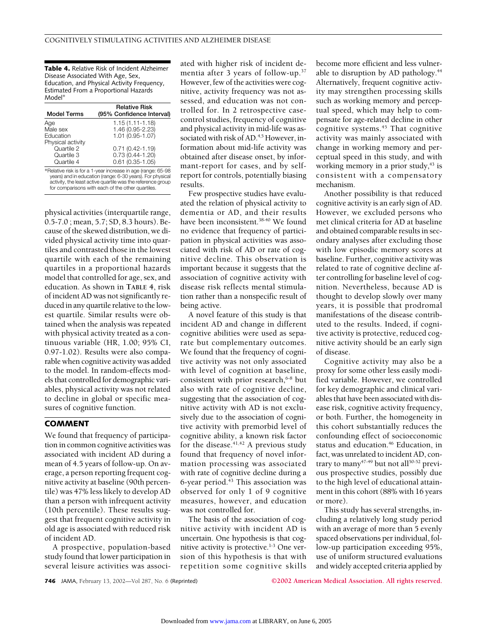**Table 4.** Relative Risk of Incident Alzheimer Disease Associated With Age, Sex, Education, and Physical Activity Frequency, Estimated From a Proportional Hazards Model\*

| <b>Model Terms</b> | <b>Relative Risk</b><br>(95% Confidence Interval)             |
|--------------------|---------------------------------------------------------------|
| Age                | $1.15(1.11 - 1.18)$                                           |
| Male sex           | 1.46 (0.95-2.23)                                              |
| Education          | 1.01 (0.95-1.07)                                              |
| Physical activity  |                                                               |
| Quartile 2         | $0.71(0.42 - 1.19)$                                           |
| Quartile 3         | $0.73(0.44 - 1.20)$                                           |
| Quartile 4         | $0.61(0.35 - 1.05)$                                           |
|                    | *Relative risk is for a 1-year increase in age (range: 65-98) |

\*Relative risk is for a 1-year increase in age (range: 65-98 years) and in education (range: 6-30 years). For physical activity, the least active quartile was the reference group for comparisons with each of the other quartiles.

physical activities (interquartile range, 0.5-7.0 ; mean, 5.7; SD, 8.3 hours). Because of the skewed distribution, we divided physical activity time into quartiles and contrasted those in the lowest quartile with each of the remaining quartiles in a proportional hazards model that controlled for age, sex, and education. As shown in **TABLE 4**, risk of incident AD was not significantly reduced in any quartile relative to the lowest quartile. Similar results were obtained when the analysis was repeated with physical activity treated as a continuous variable (HR, 1.00; 95% CI, 0.97-1.02). Results were also comparable when cognitive activity was added to the model. In random-effects models that controlled for demographic variables, physical activity was not related to decline in global or specific measures of cognitive function.

## **COMMENT**

We found that frequency of participation in common cognitive activities was associated with incident AD during a mean of 4.5 years of follow-up. On average, a person reporting frequent cognitive activity at baseline (90th percentile) was 47% less likely to develop AD than a person with infrequent activity (10th percentile). These results suggest that frequent cognitive activity in old age is associated with reduced risk of incident AD.

A prospective, population-based study found that lower participation in several leisure activities was associated with higher risk of incident dementia after 3 years of follow-up.37 However, few of the activities were cognitive, activity frequency was not assessed, and education was not controlled for. In 2 retrospective casecontrol studies, frequency of cognitive and physical activity in mid-life was associated with risk of AD.<sup>4,5</sup> However, information about mid-life activity was obtained after disease onset, by informant-report for cases, and by selfreport for controls, potentially biasing results.

Few prospective studies have evaluated the relation of physical activity to dementia or AD, and their results have been inconsistent.<sup>38-40</sup> We found no evidence that frequency of participation in physical activities was associated with risk of AD or rate of cognitive decline. This observation is important because it suggests that the association of cognitive activity with disease risk reflects mental stimulation rather than a nonspecific result of being active.

A novel feature of this study is that incident AD and change in different cognitive abilities were used as separate but complementary outcomes. We found that the frequency of cognitive activity was not only associated with level of cognition at baseline, consistent with prior research, $6-8$  but also with rate of cognitive decline, suggesting that the association of cognitive activity with AD is not exclusively due to the association of cognitive activity with premorbid level of cognitive ability, a known risk factor for the disease. $41,42$  A previous study found that frequency of novel information processing was associated with rate of cognitive decline during a 6-year period. $43$  This association was observed for only 1 of 9 cognitive measures, however, and education was not controlled for.

The basis of the association of cognitive activity with incident AD is uncertain. One hypothesis is that cognitive activity is protective.<sup>1-3</sup> One version of this hypothesis is that with repetition some cognitive skills

become more efficient and less vulnerable to disruption by AD pathology.<sup>44</sup> Alternatively, frequent cognitive activity may strengthen processing skills such as working memory and perceptual speed, which may help to compensate for age-related decline in other cognitive systems.45 That cognitive activity was mainly associated with change in working memory and perceptual speed in this study, and with working memory in a prior study, $43$  is consistent with a compensatory mechanism.

Another possibility is that reduced cognitive activity is an early sign of AD. However, we excluded persons who met clinical criteria for AD at baseline and obtained comparable results in secondary analyses after excluding those with low episodic memory scores at baseline. Further, cognitive activity was related to rate of cognitive decline after controlling for baseline level of cognition. Nevertheless, because AD is thought to develop slowly over many years, it is possible that prodromal manifestations of the disease contributed to the results. Indeed, if cognitive activity is protective, reduced cognitive activity should be an early sign of disease.

Cognitive activity may also be a proxy for some other less easily modified variable. However, we controlled for key demographic and clinical variables that have been associated with disease risk, cognitive activity frequency, or both. Further, the homogeneity in this cohort substantially reduces the confounding effect of socioeconomic status and education.<sup>46</sup> Education, in fact, was unrelated to incident AD, contrary to many<sup>47-49</sup> but not all<sup>50-52</sup> previous prospective studies, possibly due to the high level of educational attainment in this cohort (88% with 16 years or more).

This study has several strengths, including a relatively long study period with an average of more than 5 evenly spaced observations per individual, follow-up participation exceeding 95%, use of uniform structured evaluations and widely accepted criteria applied by

**746** JAMA, February 13, 2002—Vol 287, No. 6 (Reprinted) **©2002 American Medical Association. All rights reserved.**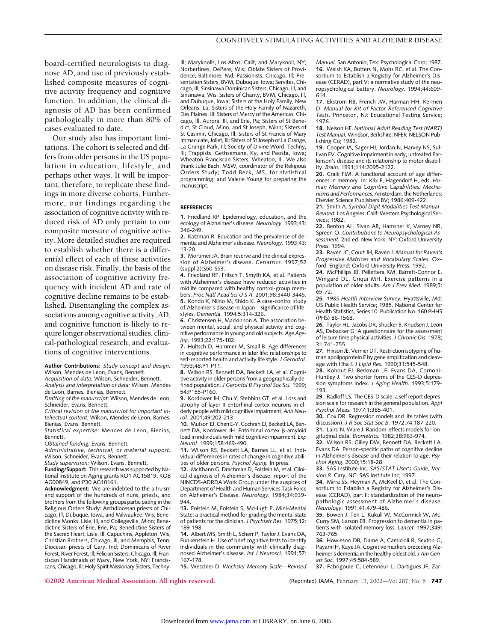board-certified neurologists to diagnose AD, and use of previously established composite measures of cognitive activity frequency and cognitive function. In addition, the clinical diagnosis of AD has been confirmed pathologically in more than 80% of cases evaluated to date.

Our study also has important limitations. The cohort is selected and differs from older persons in the US population in education, lifestyle, and perhaps other ways. It will be important, therefore, to replicate these findings in more diverse cohorts. Furthermore, our findings regarding the association of cognitive activity with reduced risk of AD only pertain to our composite measure of cognitive activity. More detailed studies are required to establish whether there is a differential effect of each of these activities on disease risk. Finally, the basis of the association of cognitive activity frequency with incident AD and rate of cognitive decline remains to be established. Disentangling the complex associations among cognitive activity, AD, and cognitive function is likely to require longer observational studies, clinical-pathological research, and evaluations of cognitive interventions.

**Author Contributions:** *Study concept and design:* Wilson, Mendes de Leon, Evans, Bennett.

*Acquisition of data:* Wilson, Schneider, Bennett. *Analysis and interpretation of data:* Wilson, Mendes

de Leon, Barnes, Bienias, Bennett. *Drafting of the manuscript:* Wilson, Mendes de Leon,

Schneider, Evans, Bennett. *Critical revision of the manuscript for important in-*

*tellectual content:* Wilson, Mendes de Leon, Barnes, Bienias, Evans, Bennett.

*Statistical expertise:* Mendes de Leon, Bienias, Bennett.

*Obtained funding:* Evans, Bennett.

*Administrative, technical, or material support:* Wilson, Schneider, Evans, Bennett.

*Study supervision:* Wilson, Evans, Bennett. **Funding/Support:** This research was supported by National Institute on Aging grants RO1 AG15819, KO8 AG00849, and P30 AG10161.

**Acknowledgment:** We are indebted to the altruism and support of the hundreds of nuns, priests, and brothers from the following groups participating in the Religious Orders Study: Archdiocesan priests of Chicago, Ill, Dubuque, Iowa, and Milwaukee, Wis; Benedictine Monks, Lisle, Ill, and Collegeville, Minn; Benedictine Sisters of Erie, Erie, Pa; Benedictine Sisters of the Sacred Heart, Lisle, Ill; Capuchins, Appleton, Wis; Christian Brothers, Chicago, Ill, and Memphis, Tenn; Diocesan priests of Gary, Ind; Dominicans of River Forest, River Forest, Ill; Felician Sisters, Chicago, Ill; Franciscan Handmaids of Mary, New York, NY; Franciscans, Chicago, Ill; Holy Spirit Missionary Sisters, Techny,

Ill; Maryknolls, Los Altos, Calif, and Maryknoll, NY; Norbertines, DePere, Wis; Oblate Sisters of Providence, Baltimore, Md; Passionists, Chicago, Ill; Presentation Sisters, BVM, Dubuque, Iowa; Servites, Chicago, Ill; Sinsinawa Dominican Sisters, Chicago, Ill, and Sinsinawa, Wis; Sisters of Charity, BVM, Chicago, Ill, and Dubuque, Iowa; Sisters of the Holy Family, New Orleans, La; Sisters of the Holy Family of Nazareth, Des Plaines, Ill; Sisters of Mercy of the Americas, Chicago, Ill, Aurora, Ill, and Erie, Pa; Sisters of St Benedict, St Cloud, Minn, and St Joseph, Minn; Sisters of St Casimir, Chicago, Ill; Sisters of St Francis of Mary Immaculate, Joliet, Ill; Sisters of St Joseph of La Grange, La Grange Park, Ill; Society of Divine Word, Techny, Ill; Trappists, Gethsemane, Ky, and Peosta, Iowa; Wheaton Franciscan Sisters, Wheaton, Ill. We also thank Julie Bach, MSW, coordinator of the Religious Orders Study; Todd Beck, MS, for statistical programming; and Valerie Young for preparing the manuscript.

#### **REFERENCES**

**1.** Friedland RP. Epidemiology, education, and the ecology of Alzheimer's disease. *Neurology.* 1993;43: 246-249.

**2.** Katzman R. Education and the prevalence of dementia and Alzheimer's disease. *Neurology.* 1993;43: 13-20.

**3.** Mortimer JA. Brain reserve and the clinical expression of Alzheimer's disease. *Geriatrics.* 1997;52 (suppl 2):S50-S53.

**4.** Friedland RP, Fritsch T, Smyth KA, et al. Patients with Alzheimer's disease have reduced activities in midlife compared with healthy control-group members. *Proc Natl Acad Sci U S A.* 2001;98:3440-3445. **5.** Kondo K, Niino M, Shido K. A case-control study of Alzheimer's disease in Japan—significance of lifestyles. *Dementia.* 1994;5:314-326.

**6.** Christensen H, Mackinnon A. The association between mental, social, and physical activity and cognitive performance in young and old subjects. *Age Ageing.* 1993;22:175-182.

**7.** Hultsch D, Hammer M, Small B. Age differences in cognitive performance in later life: relationships to self-reported health and activity life style. *J Gerontol.* 1993;48:P1-P11.

**8.** Wilson RS, Bennett DA, Beckett LA, et al. Cognitive activity in older persons from a geographically defined population. *J Gerontol B Psychol Soc Sci.* 1999; 54:P155-P160.

**9.** Kordower JH, Chu Y, Stebbins GT, et al. Loss and atrophy of layer II entorhinal cortex neurons in elderly people with mild cognitive impairment. *Ann Neurol.* 2001;49:202-213.

**10.** Mufson EJ, Chen E-Y, Cochran EJ, Beckett LA, Bennett DA, Kordower JH. Entorhinal cortex B-amyloid load in individuals with mild cognitive impairment. *Exp Neurol.* 1999;158:469-490.

**11.** Wilson RS, Beckett LA, Barnes LL, et al. Individual differences in rates of change in cognitive abilities of older persons. *Psychol Aging.* In press.

**12.** McKhann G, Drachman D, Folstein M, et al. Clinical diagnosis of Alzheimer's disease: report of the NINCDS-ADRDA Work Group under the auspices of Department of Health and Human Services Task Force on Alzheimer's Disease. *Neurology.* 1984;34:939- 944.

**13.** Folstein M, Folstein S, McHugh P. Mini-Mental State: a practical method for grading the mental state of patients for the clinician. *J Psychiatr Res.* 1975;12: 189-198.

**14.** Albert MS, Smith L, Scherr P, Taylor J, Evans DA, Funkenstein H. Use of brief cognitive tests to identify individuals in the community with clinically diagnosed Alzheimer's disease. *Int J Neurosci.* 1991;57: 167-178.

**15.** Weschler D. *Wechsler Memory Scale—Revised*

*Manual.* San Antonio, Tex: Psychological Corp; 1987. **16.** Welsh KA, Butters N, Mohs RC, et al. The Consortium to Establish a Registry for Alzheimer's Disease (CERAD), part V: a normative study of the neuropsychological battery. *Neurology.* 1994;44:609- 614.

**17.** Ekstrom RB, French JW, Harman HH, Kermen D. *Manual for Kit of Factor-Referenced Cognitive Tests.* Princeton, NJ: Educational Testing Service; 1976.

**18.** Nelson HE. *National Adult Reading Test (NART) Test Manual.* Windsor, Berkshire: NFER-NELSON Publishing Co; 1982.

**19.** Cooper JA, Sager HJ, Jordan N, Harvey NS, Sullivan EV. Cognitive impairment in early, untreated Parkinson's disease and its relationship to motor disability. *Brain.* 1991;114:2095-2122.

**20.** Craik FIM. A functional account of age differences in memory. In: Klix E, Hagendorf H, eds. *Human Memory and Cognitive Capabilities: Mechanisms and Performances.* Amsterdam, the Netherlands: Elsevier Science Publishers BV; 1986:409-422.

**21.** Smith A. *Symbol Digit Modalities Test Manual– Revised.* Los Angeles, Calif: Western Psychological Services; 1982.

**22.** Benton AL, Sivan AB, Hamsher K, Varney NR, Spreen O. *Contributions to Neuropsychological Assessment.* 2nd ed. New York, NY: Oxford University Press; 1994.

**23.** Raven JC, Court JH, Raven J. *Manual for Raven's Progressive Matrices and Vocabulary Scales.* Oxford, England: Oxford University Press; 1992.

**24.** McPhillips JB, Pellettera KM, Barrett-Connor E, Wingard DL, Criqui MH. Exercise patterns in a population of older adults. *Am J Prev Med.* 1989;5: 65-72.

**25.** *1985 Health Interview Survey.* Hyattsville, Md: US Public Health Service; 1985. National Center for Health Statistics, Series 10. Publication No. 160 PHHS (PHS) 86-1568.

**26.** Taylor HL, Jacobs DR, Shucker B, Knudsen J, Leon AS, Debacker G. A questionnaire for the assessment of leisure time physical activities. *J Chronic Dis.* 1978; 31:741-755.

**27.** Hixson JE, Vernier DT. Restriction isotyping of human apolipoprotein E by gene amplification and cleavage with Hha I. *J Lipid Res.* 1990;31:545-548.

**28.** Kohout FJ, Berkman LF, Evans DA, Cornoni-Huntley J. Two shorter forms of the CES-D depression symptoms index. *J Aging Health.* 1993;5:179- 193.

**29.** Radloff LS. The CES-D scale: a self report depression scale for research in the general population. *Appl Psychol Meas.* 1977;1:385-401.

**30.** Cox DR. Regression models and life tables (with discussion). *J R Soc Stat Soc B.* 1972;74:187-220.

**31.** Laird N, Ware J. Random-effects models for longitudinal data. *Biometrics.* 1982;38:963-974.

**32.** Wilson RS, Gilley DW, Bennett DA, Beckett LA. Evans DA. Person-specific paths of cognitive decline in Alzheimer's disease and their relation to age. *Psychol Aging.* 2000;15:18-28.

**33.** SAS Institute Inc. *SAS/STAT User's Guide, Version 8.* Cary, NC: SAS Institute Inc; 1997.

**34.** Mirra SS, Heyman A, McKeel D, et al. The Consortium to Establish a Registry for Alzheimer's Disease (CERAD), part II: standardization of the neuropathologic assessment of Alzheimer's disease. *Neurology.* 1991;41:479-486.

**35.** Bowen J, Teri L, Kukull W, McCormick W, Mc-Curry SM, Larson EB. Progression to dementia in patients with isolated memory loss. *Lancet.* 1997;349: 763-765.

**36.** Howieson DB, Dame A, Camicioli R, Sexton G, Payami H, Kaye JA. Cognitive markers preceding Alzheimer's dementia in the healthy oldest old.*J Am Geriatr Soc.* 1997;45:584-589.

**37.** Fabrigoule C, Letenneur L, Dartigues JF, Zar-

**©2002 American Medical Association. All rights reserved.** (Reprinted) JAMA, February 13, 2002—Vol 287, No. 6 **747**